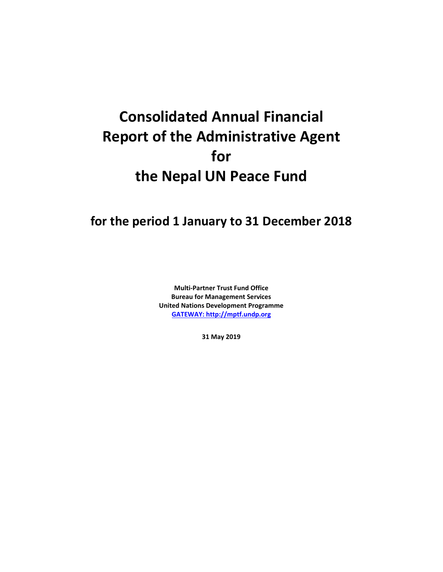# **Consolidated Annual Financial Report of the Administrative Agent for the Nepal UN Peace Fund**

## **for the period 1 January to 31 December 2018**

**Multi-Partner Trust Fund Office Bureau for Management Services United Nations Development Programme [GATEWAY: http://mptf.undp.org](http://mptf.undp.org/)**

**31 May 2019**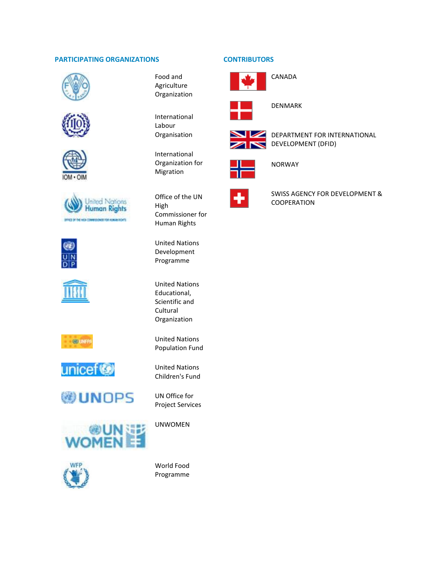#### **PARTICIPATING ORGANIZATIONS CONTRIBUTORS**























Food and Agriculture Organization

International Labour Organisation

International Organization for Migration

Office of the UN High Commissioner for Human Rights

United Nations Development Programme

United Nations Educational, Scientific and Cultural Organization

United Nations Population Fund

United Nations Children's Fund

UN Office for Project Services

UNWOMEN

World Food Programme





DENMARK

CANADA



DEPARTMENT FOR INTERNATIONAL DEVELOPMENT (DFID)



NORWAY



SWISS AGENCY FOR DEVELOPMENT & **COOPERATION**